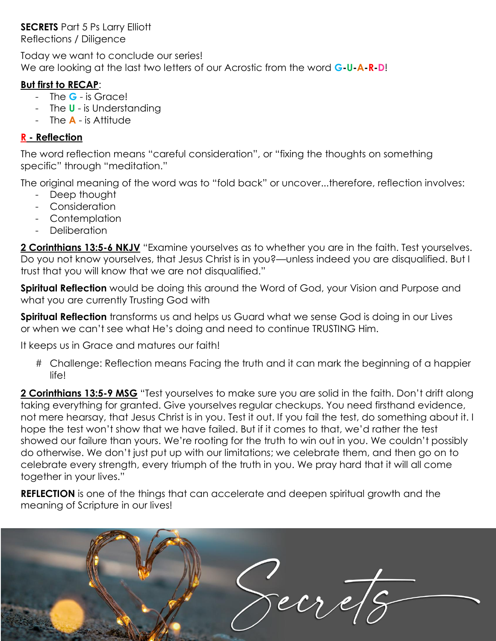# **SECRETS** Part 5 Ps Larry Elliott

Reflections / Diligence

Today we want to conclude our series! We are looking at the last two letters of our Acrostic from the word **G-U-A-R-D**!

## **But first to RECAP**:

- The **G** is Grace!
- The **U** is Understanding
- The **A** is Attitude

## **R - Reflection**

The word reflection means "careful consideration", or "fixing the thoughts on something specific" through "meditation."

The original meaning of the word was to "fold back" or uncover...therefore, reflection involves:

- Deep thought
- Consideration
- Contemplation
- Deliberation

**2 Corinthians 13:5-6 NKJV** "Examine yourselves as to whether you are in the faith. Test yourselves. Do you not know yourselves, that Jesus Christ is in you?—unless indeed you are disqualified. But I trust that you will know that we are not disqualified."

**Spiritual Reflection** would be doing this around the Word of God, your Vision and Purpose and what you are currently Trusting God with

**Spiritual Reflection** transforms us and helps us Guard what we sense God is doing in our Lives or when we can"t see what He"s doing and need to continue TRUSTING Him.

It keeps us in Grace and matures our faith!

# Challenge: Reflection means Facing the truth and it can mark the beginning of a happier life!

**2 Corinthians 13:5-9 MSG** "Test yourselves to make sure you are solid in the faith. Don"t drift along taking everything for granted. Give yourselves regular checkups. You need firsthand evidence, not mere hearsay, that Jesus Christ is in you. Test it out. If you fail the test, do something about it. I hope the test won"t show that we have failed. But if it comes to that, we"d rather the test showed our failure than yours. We"re rooting for the truth to win out in you. We couldn"t possibly do otherwise. We don"t just put up with our limitations; we celebrate them, and then go on to celebrate every strength, every triumph of the truth in you. We pray hard that it will all come together in your lives."

**REFLECTION** is one of the things that can accelerate and deepen spiritual growth and the meaning of Scripture in our lives!

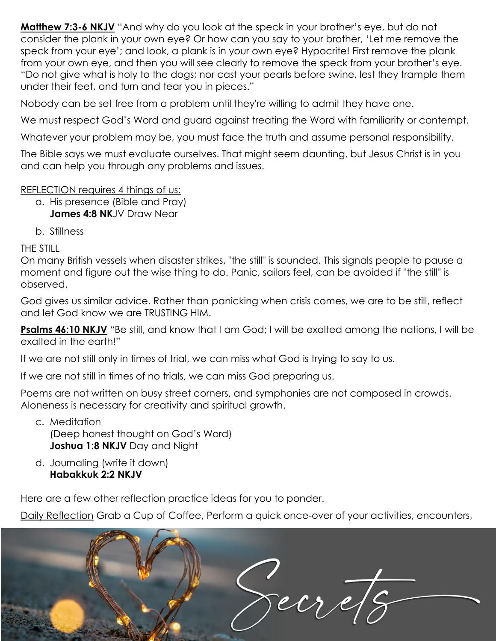**Matthew 7:3-6 NKJV** "And why do you look at the speck in your brother's eye, but do not consider the plank in your own eye? Or how can you say to your brother, "Let me remove the speck from your eye"; and look, a plank is in your own eye? Hypocrite! First remove the plank from your own eye, and then you will see clearly to remove the speck from your brother"s eye. "Do not give what is holy to the dogs; nor cast your pearls before swine, lest they trample them under their feet, and turn and tear you in pieces."

Nobody can be set free from a problem until they're willing to admit they have one.

We must respect God's Word and guard against treating the Word with familiarity or contempt.

Whatever your problem may be, you must face the truth and assume personal responsibility.

The Bible says we must evaluate ourselves. That might seem daunting, but Jesus Christ is in you and can help you through any problems and issues.

#### REFLECTION requires 4 things of us:

- a. His presence (Bible and Pray) **James 4:8 NK**JV Draw Near
- b. Stillness

THE STILL

On many British vessels when disaster strikes, "the still" is sounded. This signals people to pause a moment and figure out the wise thing to do. Panic, sailors feel, can be avoided if "the still" is observed.

God gives us similar advice. Rather than panicking when crisis comes, we are to be still, reflect and let God know we are TRUSTING HIM.

**Psalms 46:10 NKJV** "Be still, and know that I am God; I will be exalted among the nations, I will be exalted in the earth!"

If we are not still only in times of trial, we can miss what God is trying to say to us.

If we are not still in times of no trials, we can miss God preparing us.

Poems are not written on busy street corners, and symphonies are not composed in crowds. Aloneness is necessary for creativity and spiritual growth.

- c. Meditation (Deep honest thought on God"s Word) **Joshua 1:8 NKJV** Day and Night
- d. Journaling (write it down) **Habakkuk 2:2 NKJV**

Here are a few other reflection practice ideas for you to ponder.

Daily Reflection Grab a Cup of Coffee, Perform a quick once-over of your activities, encounters,

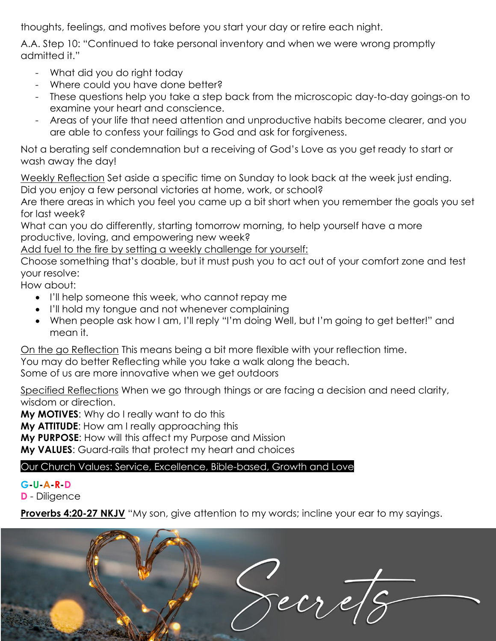thoughts, feelings, and motives before you start your day or retire each night.

A.A. Step 10: "Continued to take personal inventory and when we were wrong promptly admitted it."

- What did you do right today
- Where could you have done better?
- These questions help you take a step back from the microscopic day-to-day goings-on to examine your heart and conscience.
- Areas of your life that need attention and unproductive habits become clearer, and you are able to confess your failings to God and ask for forgiveness.

Not a berating self condemnation but a receiving of God"s Love as you get ready to start or wash away the day!

Weekly Reflection Set aside a specific time on Sunday to look back at the week just ending. Did you enjoy a few personal victories at home, work, or school?

Are there areas in which you feel you came up a bit short when you remember the goals you set for last week?

What can you do differently, starting tomorrow morning, to help yourself have a more productive, loving, and empowering new week?

Add fuel to the fire by setting a weekly challenge for yourself:

Choose something that"s doable, but it must push you to act out of your comfort zone and test your resolve:

How about:

- I'll help someone this week, who cannot repay me
- I'll hold my tongue and not whenever complaining
- When people ask how I am, I"ll reply "I"m doing Well, but I"m going to get better!" and mean it.

On the go Reflection This means being a bit more flexible with your reflection time.

You may do better Reflecting while you take a walk along the beach.

Some of us are more innovative when we get outdoors

Specified Reflections When we go through things or are facing a decision and need clarity, wisdom or direction.

**My MOTIVES**: Why do I really want to do this

**My ATTITUDE**: How am I really approaching this

**My PURPOSE**: How will this affect my Purpose and Mission

**My VALUES**: Guard-rails that protect my heart and choices

## Our Church Values: Service, Excellence, Bible-based, Growth and Love

## **G-U-A-R-D**

**D** - Diligence

**Proverbs 4:20-27 NKJV** "My son, give attention to my words; incline your ear to my sayings.

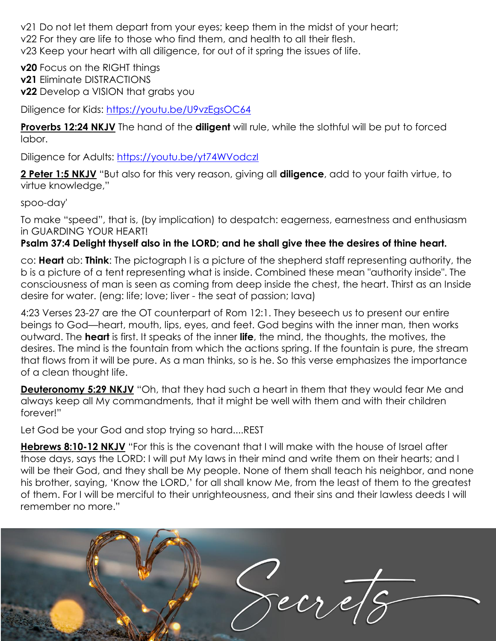v21 Do not let them depart from your eyes; keep them in the midst of your heart; v22 For they are life to those who find them, and health to all their flesh. v23 Keep your heart with all diligence, for out of it spring the issues of life.

**v20** Focus on the RIGHT things **v21** Eliminate DISTRACTIONS **v22** Develop a VISION that grabs you

Diligence for Kids:<https://youtu.be/U9vzEgsOC64>

**Proverbs 12:24 NKJV** The hand of the **diligent** will rule, while the slothful will be put to forced labor.

Diligence for Adults:<https://youtu.be/yt74WVodczI>

**2 Peter 1:5 NKJV** "But also for this very reason, giving all **diligence**, add to your faith virtue, to virtue knowledge,"

spoo-day'

To make "speed", that is, (by implication) to despatch: eagerness, earnestness and enthusiasm in GUARDING YOUR HEART!

## **Psalm 37:4 Delight thyself also in the LORD; and he shall give thee the desires of thine heart.**

co: **Heart** ab: **Think**: The pictograph l is a picture of the shepherd staff representing authority, the b is a picture of a tent representing what is inside. Combined these mean "authority inside". The consciousness of man is seen as coming from deep inside the chest, the heart. Thirst as an Inside desire for water. (eng: life; love; liver - the seat of passion; lava)

4:23 Verses 23-27 are the OT counterpart of Rom 12:1. They beseech us to present our entire beings to God—heart, mouth, lips, eyes, and feet. God begins with the inner man, then works outward. The **heart** is first. It speaks of the inner **life**, the mind, the thoughts, the motives, the desires. The mind is the fountain from which the actions spring. If the fountain is pure, the stream that flows from it will be pure. As a man thinks, so is he. So this verse emphasizes the importance of a clean thought life.

**Deuteronomy 5:29 NKJV** "Oh, that they had such a heart in them that they would fear Me and always keep all My commandments, that it might be well with them and with their children forever!"

Let God be your God and stop trying so hard....REST

**Hebrews 8:10-12 NKJV** "For this is the covenant that I will make with the house of Israel after those days, says the LORD: I will put My laws in their mind and write them on their hearts; and I will be their God, and they shall be My people. None of them shall teach his neighbor, and none his brother, saying, "Know the LORD," for all shall know Me, from the least of them to the greatest of them. For I will be merciful to their unrighteousness, and their sins and their lawless deeds I will remember no more."